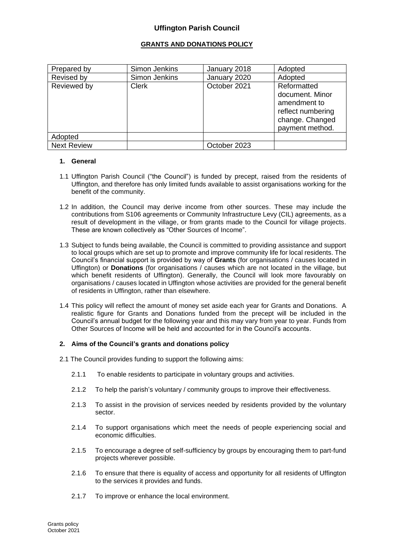# **Uffington Parish Council**

## **GRANTS AND DONATIONS POLICY**

| Prepared by        | Simon Jenkins | January 2018 | Adopted                                                                                                   |
|--------------------|---------------|--------------|-----------------------------------------------------------------------------------------------------------|
| Revised by         | Simon Jenkins | January 2020 | Adopted                                                                                                   |
| Reviewed by        | <b>Clerk</b>  | October 2021 | Reformatted<br>document. Minor<br>amendment to<br>reflect numbering<br>change. Changed<br>payment method. |
| Adopted            |               |              |                                                                                                           |
| <b>Next Review</b> |               | October 2023 |                                                                                                           |

#### **1. General**

- 1.1 Uffington Parish Council ("the Council") is funded by precept, raised from the residents of Uffington, and therefore has only limited funds available to assist organisations working for the benefit of the community.
- 1.2 In addition, the Council may derive income from other sources. These may include the contributions from S106 agreements or Community Infrastructure Levy (CIL) agreements, as a result of development in the village, or from grants made to the Council for village projects. These are known collectively as "Other Sources of Income".
- 1.3 Subject to funds being available, the Council is committed to providing assistance and support to local groups which are set up to promote and improve community life for local residents. The Council's financial support is provided by way of **Grants** (for organisations / causes located in Uffington) or **Donations** (for organisations / causes which are not located in the village, but which benefit residents of Uffington). Generally, the Council will look more favourably on organisations / causes located in Uffington whose activities are provided for the general benefit of residents in Uffington, rather than elsewhere.
- 1.4 This policy will reflect the amount of money set aside each year for Grants and Donations. A realistic figure for Grants and Donations funded from the precept will be included in the Council's annual budget for the following year and this may vary from year to year. Funds from Other Sources of Income will be held and accounted for in the Council's accounts.

## **2. Aims of the Council's grants and donations policy**

- 2.1 The Council provides funding to support the following aims:
	- 2.1.1 To enable residents to participate in voluntary groups and activities.
	- 2.1.2 To help the parish's voluntary / community groups to improve their effectiveness.
	- 2.1.3 To assist in the provision of services needed by residents provided by the voluntary sector.
	- 2.1.4 To support organisations which meet the needs of people experiencing social and economic difficulties.
	- 2.1.5 To encourage a degree of self-sufficiency by groups by encouraging them to part-fund projects wherever possible.
	- 2.1.6 To ensure that there is equality of access and opportunity for all residents of Uffington to the services it provides and funds.
	- 2.1.7 To improve or enhance the local environment.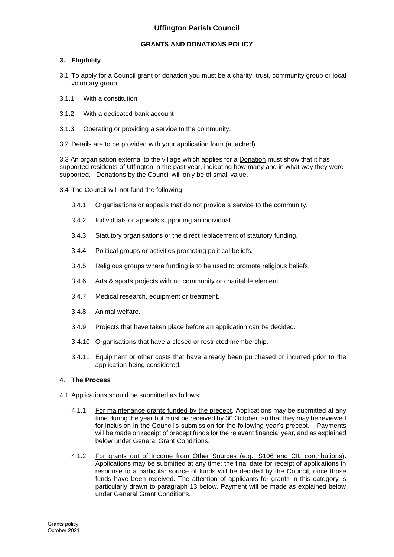# **Uffington Parish Council**

## **GRANTS AND DONATIONS POLICY**

# **3. Eligibility**

- 3.1 To apply for a Council grant or donation you must be a charity, trust, community group or local voluntary group:
- 3.1.1 With a constitution
- 3.1.2 With a dedicated bank account
- 3.1.3 Operating or providing a service to the community.
- 3.2 Details are to be provided with your application form (attached).

3.3 An organisation external to the village which applies for a Donation must show that it has supported residents of Uffington in the past year, indicating how many and in what way they were supported. Donations by the Council will only be of small value.

3.4 The Council will not fund the following:

- 3.4.1 Organisations or appeals that do not provide a service to the community.
- 3.4.2 Individuals or appeals supporting an individual.
- 3.4.3 Statutory organisations or the direct replacement of statutory funding.
- 3.4.4 Political groups or activities promoting political beliefs.
- 3.4.5 Religious groups where funding is to be used to promote religious beliefs.
- 3.4.6 Arts & sports projects with no community or charitable element.
- 3.4.7 Medical research, equipment or treatment.
- 3.4.8 Animal welfare.
- 3.4.9 Projects that have taken place before an application can be decided.
- 3.4.10 Organisations that have a closed or restricted membership.
- 3.4.11 Equipment or other costs that have already been purchased or incurred prior to the application being considered.

## **4. The Process**

- 4.1 Applications should be submitted as follows:
	- 4.1.1 For maintenance grants funded by the precept. Applications may be submitted at any time during the year but must be received by 30 October, so that they may be reviewed for inclusion in the Council's submission for the following year's precept. Payments will be made on receipt of precept funds for the relevant financial year, and as explained below under General Grant Conditions.
	- 4.1.2 For grants out of Income from Other Sources (e.g., S106 and CIL contributions). Applications may be submitted at any time; the final date for receipt of applications in response to a particular source of funds will be decided by the Council, once those funds have been received. The attention of applicants for grants in this category is particularly drawn to paragraph 13 below. Payment will be made as explained below under General Grant Conditions.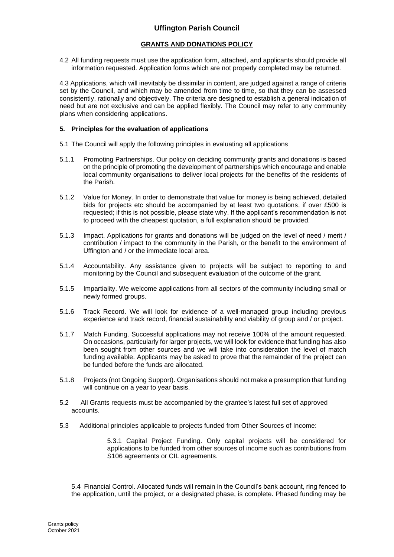4.2 All funding requests must use the application form, attached, and applicants should provide all information requested. Application forms which are not properly completed may be returned.

4.3 Applications, which will inevitably be dissimilar in content, are judged against a range of criteria set by the Council, and which may be amended from time to time, so that they can be assessed consistently, rationally and objectively. The criteria are designed to establish a general indication of need but are not exclusive and can be applied flexibly. The Council may refer to any community plans when considering applications.

### **5. Principles for the evaluation of applications**

- 5.1 The Council will apply the following principles in evaluating all applications
- 5.1.1 Promoting Partnerships. Our policy on deciding community grants and donations is based on the principle of promoting the development of partnerships which encourage and enable local community organisations to deliver local projects for the benefits of the residents of the Parish.
- 5.1.2 Value for Money. In order to demonstrate that value for money is being achieved, detailed bids for projects etc should be accompanied by at least two quotations, if over £500 is requested; if this is not possible, please state why. If the applicant's recommendation is not to proceed with the cheapest quotation, a full explanation should be provided.
- 5.1.3 Impact. Applications for grants and donations will be judged on the level of need / merit / contribution / impact to the community in the Parish, or the benefit to the environment of Uffington and / or the immediate local area.
- 5.1.4 Accountability. Any assistance given to projects will be subject to reporting to and monitoring by the Council and subsequent evaluation of the outcome of the grant.
- 5.1.5 Impartiality. We welcome applications from all sectors of the community including small or newly formed groups.
- 5.1.6 Track Record. We will look for evidence of a well-managed group including previous experience and track record, financial sustainability and viability of group and / or project.
- 5.1.7 Match Funding. Successful applications may not receive 100% of the amount requested. On occasions, particularly for larger projects, we will look for evidence that funding has also been sought from other sources and we will take into consideration the level of match funding available. Applicants may be asked to prove that the remainder of the project can be funded before the funds are allocated.
- 5.1.8 Projects (not Ongoing Support). Organisations should not make a presumption that funding will continue on a year to year basis.
- 5.2 All Grants requests must be accompanied by the grantee's latest full set of approved accounts.
- 5.3 Additional principles applicable to projects funded from Other Sources of Income:

5.3.1 Capital Project Funding. Only capital projects will be considered for applications to be funded from other sources of income such as contributions from S106 agreements or CIL agreements.

5.4 Financial Control. Allocated funds will remain in the Council's bank account, ring fenced to the application, until the project, or a designated phase, is complete. Phased funding may be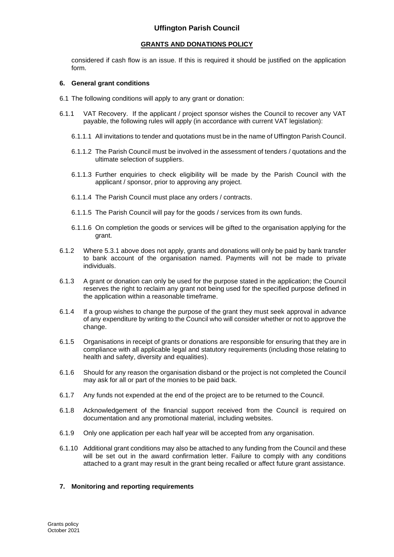considered if cash flow is an issue. If this is required it should be justified on the application form.

#### **6. General grant conditions**

- 6.1 The following conditions will apply to any grant or donation:
- 6.1.1 VAT Recovery. If the applicant / project sponsor wishes the Council to recover any VAT payable, the following rules will apply (in accordance with current VAT legislation):
	- 6.1.1.1 All invitations to tender and quotations must be in the name of Uffington Parish Council.
	- 6.1.1.2 The Parish Council must be involved in the assessment of tenders / quotations and the ultimate selection of suppliers.
	- 6.1.1.3 Further enquiries to check eligibility will be made by the Parish Council with the applicant / sponsor, prior to approving any project.
	- 6.1.1.4 The Parish Council must place any orders / contracts.
	- 6.1.1.5 The Parish Council will pay for the goods / services from its own funds.
	- 6.1.1.6 On completion the goods or services will be gifted to the organisation applying for the grant.
- 6.1.2 Where 5.3.1 above does not apply, grants and donations will only be paid by bank transfer to bank account of the organisation named. Payments will not be made to private individuals.
- 6.1.3 A grant or donation can only be used for the purpose stated in the application; the Council reserves the right to reclaim any grant not being used for the specified purpose defined in the application within a reasonable timeframe.
- 6.1.4 If a group wishes to change the purpose of the grant they must seek approval in advance of any expenditure by writing to the Council who will consider whether or not to approve the change.
- 6.1.5 Organisations in receipt of grants or donations are responsible for ensuring that they are in compliance with all applicable legal and statutory requirements (including those relating to health and safety, diversity and equalities).
- 6.1.6 Should for any reason the organisation disband or the project is not completed the Council may ask for all or part of the monies to be paid back.
- 6.1.7 Any funds not expended at the end of the project are to be returned to the Council.
- 6.1.8 Acknowledgement of the financial support received from the Council is required on documentation and any promotional material, including websites.
- 6.1.9 Only one application per each half year will be accepted from any organisation.
- 6.1.10 Additional grant conditions may also be attached to any funding from the Council and these will be set out in the award confirmation letter. Failure to comply with any conditions attached to a grant may result in the grant being recalled or affect future grant assistance.

## **7. Monitoring and reporting requirements**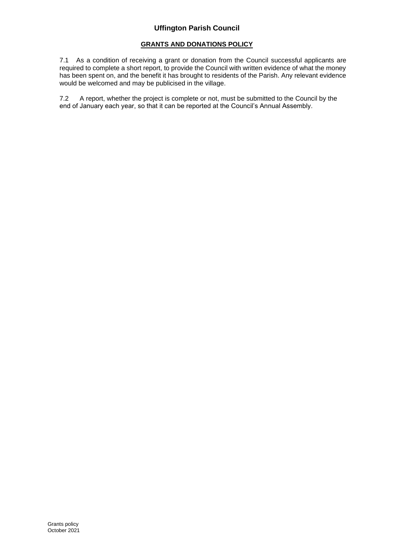7.1 As a condition of receiving a grant or donation from the Council successful applicants are required to complete a short report, to provide the Council with written evidence of what the money has been spent on, and the benefit it has brought to residents of the Parish. Any relevant evidence would be welcomed and may be publicised in the village.

7.2 A report, whether the project is complete or not, must be submitted to the Council by the end of January each year, so that it can be reported at the Council's Annual Assembly.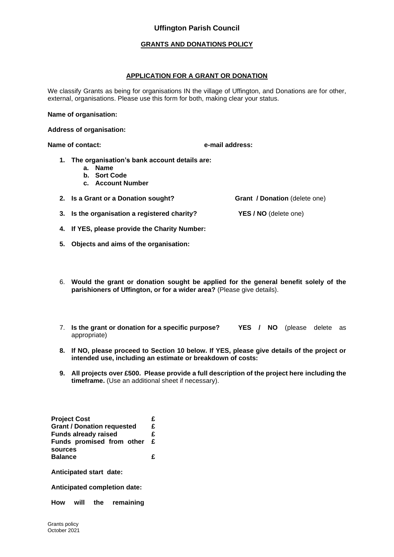# **Uffington Parish Council**

### **GRANTS AND DONATIONS POLICY**

#### **APPLICATION FOR A GRANT OR DONATION**

We classify Grants as being for organisations IN the village of Uffington, and Donations are for other, external, organisations. Please use this form for both, making clear your status.

**Name of organisation:** 

**Address of organisation:**

**Name of contact: e-mail address:**

- **1. The organisation's bank account details are:**
	- **a. Name**
	- **b. Sort Code**
	- **c. Account Number**
- **2. Is a Grant or a Donation sought? Grant / Donation** (delete one)

- **3. Is the organisation a registered charity? YES / NO** (delete one)
- **4. If YES, please provide the Charity Number:**
- **5. Objects and aims of the organisation:**
- 6. **Would the grant or donation sought be applied for the general benefit solely of the parishioners of Uffington, or for a wider area?** (Please give details).
- 7. **Is the grant or donation for a specific purpose? YES / NO** (please delete as appropriate)
- **8. If NO, please proceed to Section 10 below. If YES, please give details of the project or intended use, including an estimate or breakdown of costs:**
- **9. All projects over £500. Please provide a full description of the project here including the timeframe.** (Use an additional sheet if necessary).

| <b>Project Cost</b>               | £            |  |
|-----------------------------------|--------------|--|
| <b>Grant / Donation requested</b> |              |  |
| <b>Funds already raised</b>       |              |  |
| Funds promised from other         | $\mathbf{f}$ |  |
| sources                           |              |  |
| <b>Balance</b>                    | £            |  |

**Anticipated start date:**

**Anticipated completion date:**

**How will the remaining**